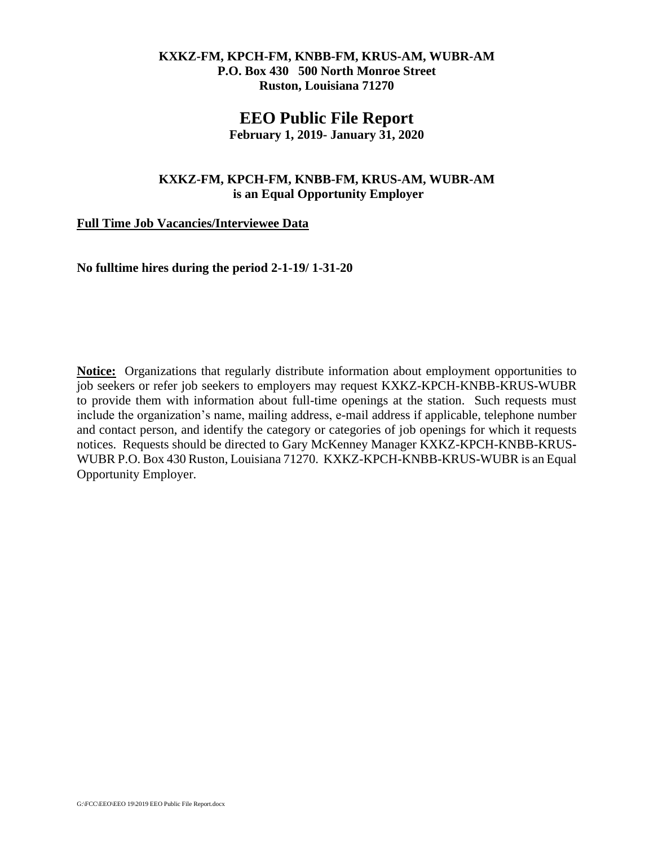#### **KXKZ-FM, KPCH-FM, KNBB-FM, KRUS-AM, WUBR-AM P.O. Box 430 500 North Monroe Street Ruston, Louisiana 71270**

## **EEO Public File Report**

**February 1, 2019- January 31, 2020**

### **KXKZ-FM, KPCH-FM, KNBB-FM, KRUS-AM, WUBR-AM is an Equal Opportunity Employer**

### **Full Time Job Vacancies/Interviewee Data**

**No fulltime hires during the period 2-1-19/ 1-31-20**

**Notice:** Organizations that regularly distribute information about employment opportunities to job seekers or refer job seekers to employers may request KXKZ-KPCH-KNBB-KRUS**-**WUBR to provide them with information about full-time openings at the station. Such requests must include the organization's name, mailing address, e-mail address if applicable, telephone number and contact person, and identify the category or categories of job openings for which it requests notices. Requests should be directed to Gary McKenney Manager KXKZ-KPCH-KNBB-KRUS**-**WUBR P.O. Box 430 Ruston, Louisiana 71270. KXKZ-KPCH-KNBB-KRUS**-**WUBR is an Equal Opportunity Employer.